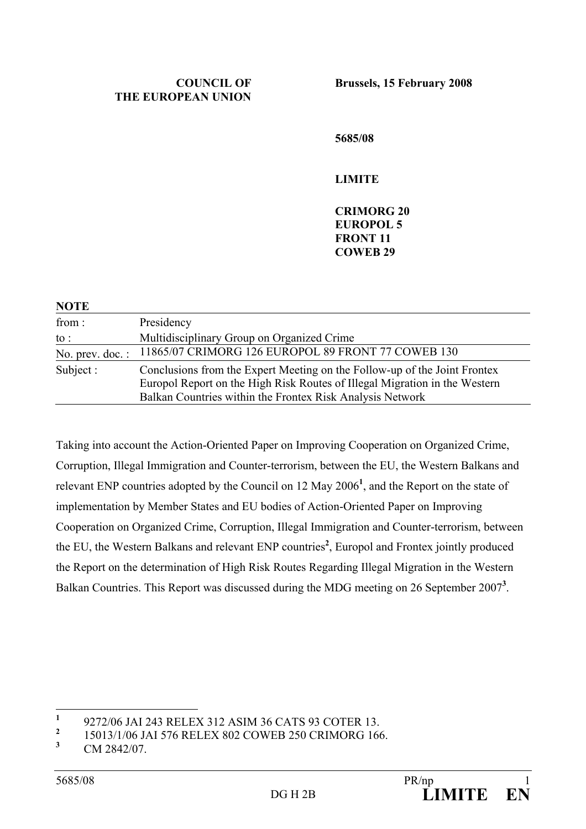#### **COUNCIL OF THE EUROPEAN UNION**

**5685/08** 

**LIMITE** 

**CRIMORG 20 EUROPOL 5 FRONT 11 COWEB 29** 

| <b>NOTE</b>        |                                                                                                                                                                                                                      |
|--------------------|----------------------------------------------------------------------------------------------------------------------------------------------------------------------------------------------------------------------|
| from:              | Presidency                                                                                                                                                                                                           |
| to :               | Multidisciplinary Group on Organized Crime                                                                                                                                                                           |
| No. prev. $doc.$ : | 11865/07 CRIMORG 126 EUROPOL 89 FRONT 77 COWEB 130                                                                                                                                                                   |
| Subject :          | Conclusions from the Expert Meeting on the Follow-up of the Joint Frontex<br>Europol Report on the High Risk Routes of Illegal Migration in the Western<br>Balkan Countries within the Frontex Risk Analysis Network |

Taking into account the Action-Oriented Paper on Improving Cooperation on Organized Crime, Corruption, Illegal Immigration and Counter-terrorism, between the EU, the Western Balkans and relevant ENP countries adopted by the Council on 12 May 2006**<sup>1</sup>** , and the Report on the state of implementation by Member States and EU bodies of Action-Oriented Paper on Improving Cooperation on Organized Crime, Corruption, Illegal Immigration and Counter-terrorism, between the EU, the Western Balkans and relevant ENP countries<sup>2</sup>, Europol and Frontex jointly produced the Report on the determination of High Risk Routes Regarding Illegal Migration in the Western Balkan Countries. This Report was discussed during the MDG meeting on 26 September 2007<sup>3</sup>.

 **1** 9272/06 JAI 243 RELEX 312 ASIM 36 CATS 93 COTER 13.

**<sup>2</sup>** 15013/1/06 JAI 576 RELEX 802 COWEB 250 CRIMORG 166.

**<sup>3</sup>** CM 2842/07.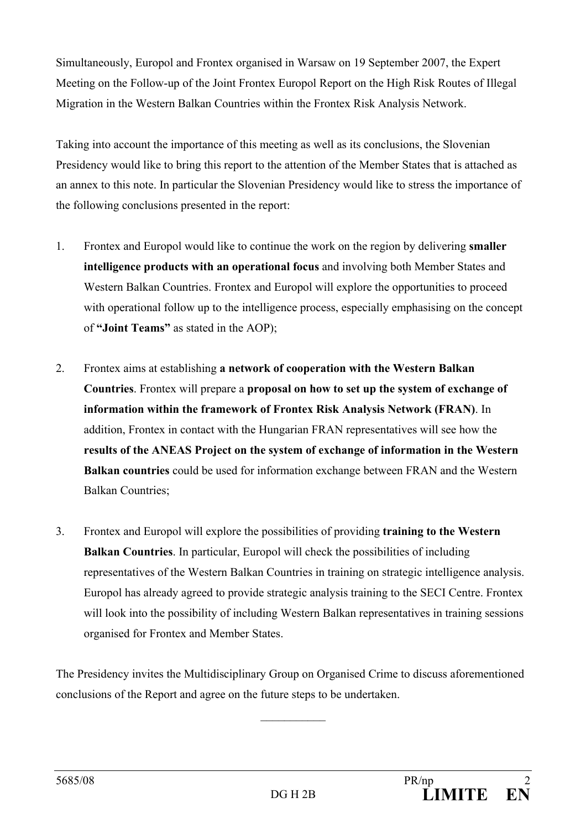Simultaneously, Europol and Frontex organised in Warsaw on 19 September 2007, the Expert Meeting on the Follow-up of the Joint Frontex Europol Report on the High Risk Routes of Illegal Migration in the Western Balkan Countries within the Frontex Risk Analysis Network.

Taking into account the importance of this meeting as well as its conclusions, the Slovenian Presidency would like to bring this report to the attention of the Member States that is attached as an annex to this note. In particular the Slovenian Presidency would like to stress the importance of the following conclusions presented in the report:

- 1. Frontex and Europol would like to continue the work on the region by delivering **smaller intelligence products with an operational focus** and involving both Member States and Western Balkan Countries. Frontex and Europol will explore the opportunities to proceed with operational follow up to the intelligence process, especially emphasising on the concept of **"Joint Teams"** as stated in the AOP);
- 2. Frontex aims at establishing **a network of cooperation with the Western Balkan Countries**. Frontex will prepare a **proposal on how to set up the system of exchange of information within the framework of Frontex Risk Analysis Network (FRAN)**. In addition, Frontex in contact with the Hungarian FRAN representatives will see how the **results of the ANEAS Project on the system of exchange of information in the Western Balkan countries** could be used for information exchange between FRAN and the Western Balkan Countries;
- 3. Frontex and Europol will explore the possibilities of providing **training to the Western Balkan Countries**. In particular, Europol will check the possibilities of including representatives of the Western Balkan Countries in training on strategic intelligence analysis. Europol has already agreed to provide strategic analysis training to the SECI Centre. Frontex will look into the possibility of including Western Balkan representatives in training sessions organised for Frontex and Member States.

The Presidency invites the Multidisciplinary Group on Organised Crime to discuss aforementioned conclusions of the Report and agree on the future steps to be undertaken.

 $\frac{1}{2}$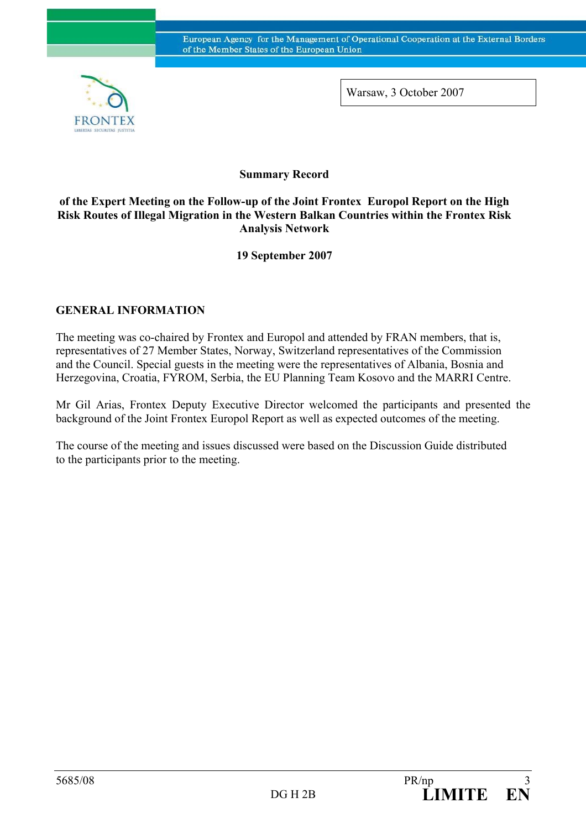

Warsaw, 3 October 2007

**Summary Record** 

#### **of the Expert Meeting on the Follow-up of the Joint Frontex Europol Report on the High Risk Routes of Illegal Migration in the Western Balkan Countries within the Frontex Risk Analysis Network**

**19 September 2007** 

# **GENERAL INFORMATION**

The meeting was co-chaired by Frontex and Europol and attended by FRAN members, that is, representatives of 27 Member States, Norway, Switzerland representatives of the Commission and the Council. Special guests in the meeting were the representatives of Albania, Bosnia and Herzegovina, Croatia, FYROM, Serbia, the EU Planning Team Kosovo and the MARRI Centre.

Mr Gil Arias, Frontex Deputy Executive Director welcomed the participants and presented the background of the Joint Frontex Europol Report as well as expected outcomes of the meeting.

The course of the meeting and issues discussed were based on the Discussion Guide distributed to the participants prior to the meeting.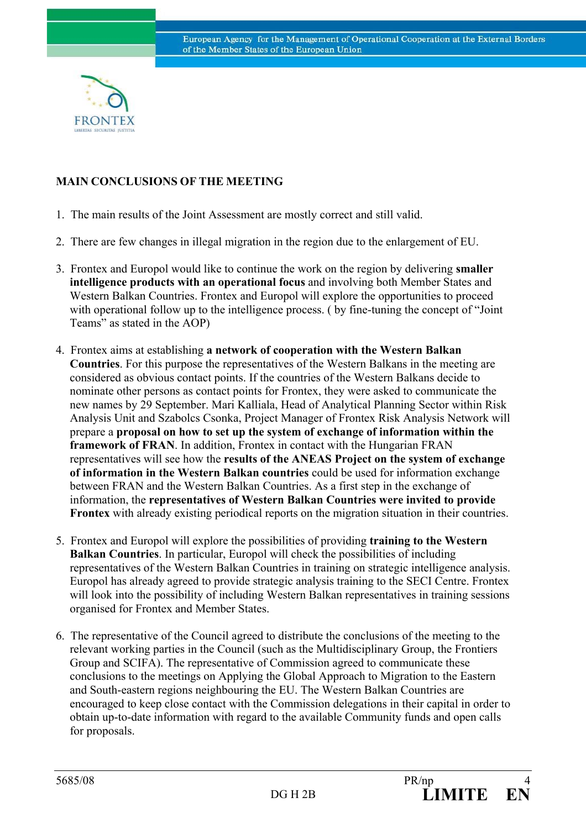

# **MAIN CONCLUSIONS OF THE MEETING**

- 1. The main results of the Joint Assessment are mostly correct and still valid.
- 2. There are few changes in illegal migration in the region due to the enlargement of EU.
- 3. Frontex and Europol would like to continue the work on the region by delivering **smaller intelligence products with an operational focus** and involving both Member States and Western Balkan Countries. Frontex and Europol will explore the opportunities to proceed with operational follow up to the intelligence process. ( by fine-tuning the concept of "Joint" Teams" as stated in the AOP)
- 4. Frontex aims at establishing **a network of cooperation with the Western Balkan Countries**. For this purpose the representatives of the Western Balkans in the meeting are considered as obvious contact points. If the countries of the Western Balkans decide to nominate other persons as contact points for Frontex, they were asked to communicate the new names by 29 September. Mari Kalliala, Head of Analytical Planning Sector within Risk Analysis Unit and Szabolcs Csonka, Project Manager of Frontex Risk Analysis Network will prepare a **proposal on how to set up the system of exchange of information within the framework of FRAN**. In addition, Frontex in contact with the Hungarian FRAN representatives will see how the **results of the ANEAS Project on the system of exchange of information in the Western Balkan countries** could be used for information exchange between FRAN and the Western Balkan Countries. As a first step in the exchange of information, the **representatives of Western Balkan Countries were invited to provide Frontex** with already existing periodical reports on the migration situation in their countries.
- 5. Frontex and Europol will explore the possibilities of providing **training to the Western Balkan Countries**. In particular, Europol will check the possibilities of including representatives of the Western Balkan Countries in training on strategic intelligence analysis. Europol has already agreed to provide strategic analysis training to the SECI Centre. Frontex will look into the possibility of including Western Balkan representatives in training sessions organised for Frontex and Member States.
- 6. The representative of the Council agreed to distribute the conclusions of the meeting to the relevant working parties in the Council (such as the Multidisciplinary Group, the Frontiers Group and SCIFA). The representative of Commission agreed to communicate these conclusions to the meetings on Applying the Global Approach to Migration to the Eastern and South-eastern regions neighbouring the EU. The Western Balkan Countries are encouraged to keep close contact with the Commission delegations in their capital in order to obtain up-to-date information with regard to the available Community funds and open calls for proposals.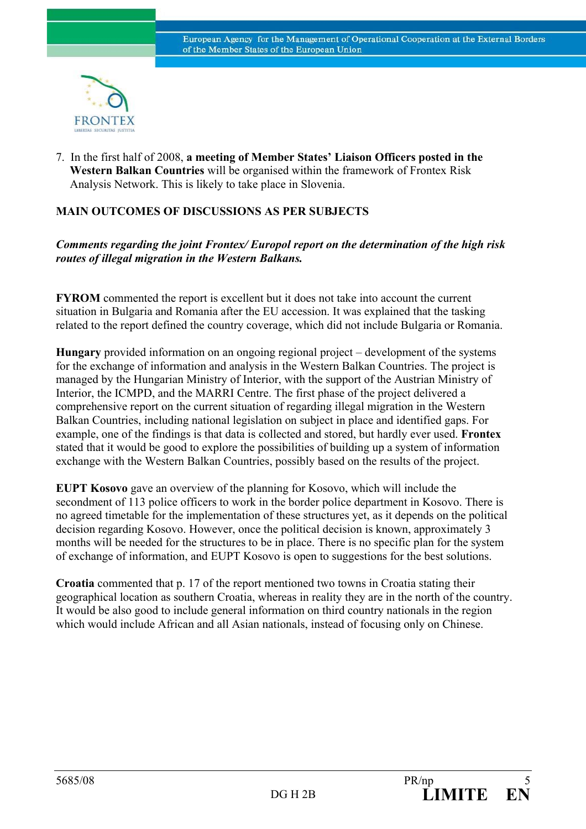

7. In the first half of 2008, **a meeting of Member States' Liaison Officers posted in the Western Balkan Countries** will be organised within the framework of Frontex Risk Analysis Network. This is likely to take place in Slovenia.

# **MAIN OUTCOMES OF DISCUSSIONS AS PER SUBJECTS**

#### *Comments regarding the joint Frontex/ Europol report on the determination of the high risk routes of illegal migration in the Western Balkans.*

**FYROM** commented the report is excellent but it does not take into account the current situation in Bulgaria and Romania after the EU accession. It was explained that the tasking related to the report defined the country coverage, which did not include Bulgaria or Romania.

**Hungary** provided information on an ongoing regional project – development of the systems for the exchange of information and analysis in the Western Balkan Countries. The project is managed by the Hungarian Ministry of Interior, with the support of the Austrian Ministry of Interior, the ICMPD, and the MARRI Centre. The first phase of the project delivered a comprehensive report on the current situation of regarding illegal migration in the Western Balkan Countries, including national legislation on subject in place and identified gaps. For example, one of the findings is that data is collected and stored, but hardly ever used. **Frontex** stated that it would be good to explore the possibilities of building up a system of information exchange with the Western Balkan Countries, possibly based on the results of the project.

**EUPT Kosovo** gave an overview of the planning for Kosovo, which will include the secondment of 113 police officers to work in the border police department in Kosovo. There is no agreed timetable for the implementation of these structures yet, as it depends on the political decision regarding Kosovo. However, once the political decision is known, approximately 3 months will be needed for the structures to be in place. There is no specific plan for the system of exchange of information, and EUPT Kosovo is open to suggestions for the best solutions.

**Croatia** commented that p. 17 of the report mentioned two towns in Croatia stating their geographical location as southern Croatia, whereas in reality they are in the north of the country. It would be also good to include general information on third country nationals in the region which would include African and all Asian nationals, instead of focusing only on Chinese.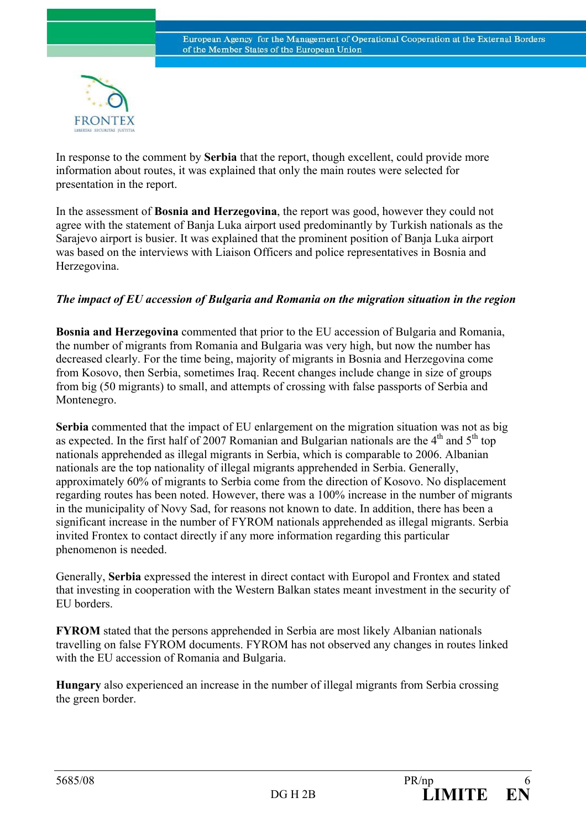

In response to the comment by **Serbia** that the report, though excellent, could provide more information about routes, it was explained that only the main routes were selected for presentation in the report.

In the assessment of **Bosnia and Herzegovina**, the report was good, however they could not agree with the statement of Banja Luka airport used predominantly by Turkish nationals as the Sarajevo airport is busier. It was explained that the prominent position of Banja Luka airport was based on the interviews with Liaison Officers and police representatives in Bosnia and Herzegovina.

# *The impact of EU accession of Bulgaria and Romania on the migration situation in the region*

**Bosnia and Herzegovina** commented that prior to the EU accession of Bulgaria and Romania, the number of migrants from Romania and Bulgaria was very high, but now the number has decreased clearly. For the time being, majority of migrants in Bosnia and Herzegovina come from Kosovo, then Serbia, sometimes Iraq. Recent changes include change in size of groups from big (50 migrants) to small, and attempts of crossing with false passports of Serbia and Montenegro.

**Serbia** commented that the impact of EU enlargement on the migration situation was not as big as expected. In the first half of 2007 Romanian and Bulgarian nationals are the  $4<sup>th</sup>$  and  $5<sup>th</sup>$  top nationals apprehended as illegal migrants in Serbia, which is comparable to 2006. Albanian nationals are the top nationality of illegal migrants apprehended in Serbia. Generally, approximately 60% of migrants to Serbia come from the direction of Kosovo. No displacement regarding routes has been noted. However, there was a 100% increase in the number of migrants in the municipality of Novy Sad, for reasons not known to date. In addition, there has been a significant increase in the number of FYROM nationals apprehended as illegal migrants. Serbia invited Frontex to contact directly if any more information regarding this particular phenomenon is needed.

Generally, **Serbia** expressed the interest in direct contact with Europol and Frontex and stated that investing in cooperation with the Western Balkan states meant investment in the security of EU borders.

**FYROM** stated that the persons apprehended in Serbia are most likely Albanian nationals travelling on false FYROM documents. FYROM has not observed any changes in routes linked with the EU accession of Romania and Bulgaria.

**Hungary** also experienced an increase in the number of illegal migrants from Serbia crossing the green border.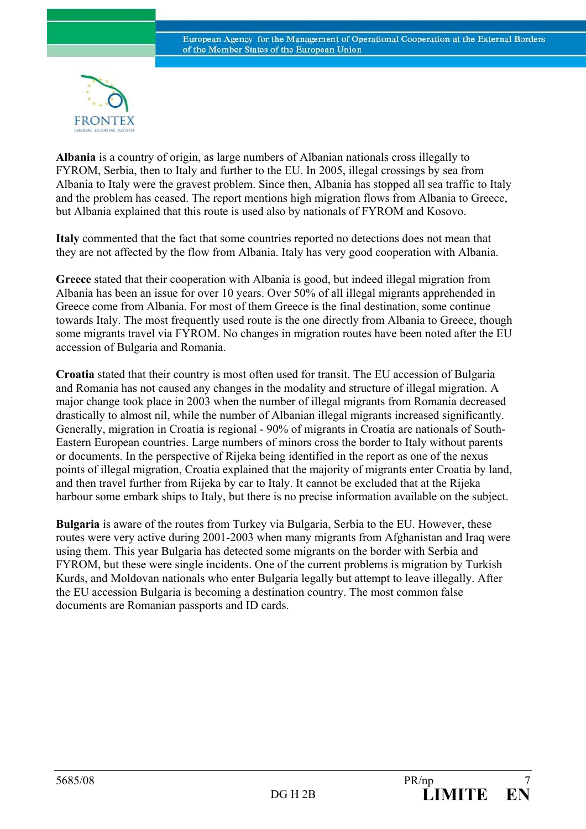

**Albania** is a country of origin, as large numbers of Albanian nationals cross illegally to FYROM, Serbia, then to Italy and further to the EU. In 2005, illegal crossings by sea from Albania to Italy were the gravest problem. Since then, Albania has stopped all sea traffic to Italy and the problem has ceased. The report mentions high migration flows from Albania to Greece, but Albania explained that this route is used also by nationals of FYROM and Kosovo.

**Italy** commented that the fact that some countries reported no detections does not mean that they are not affected by the flow from Albania. Italy has very good cooperation with Albania.

**Greece** stated that their cooperation with Albania is good, but indeed illegal migration from Albania has been an issue for over 10 years. Over 50% of all illegal migrants apprehended in Greece come from Albania. For most of them Greece is the final destination, some continue towards Italy. The most frequently used route is the one directly from Albania to Greece, though some migrants travel via FYROM. No changes in migration routes have been noted after the EU accession of Bulgaria and Romania.

**Croatia** stated that their country is most often used for transit. The EU accession of Bulgaria and Romania has not caused any changes in the modality and structure of illegal migration. A major change took place in 2003 when the number of illegal migrants from Romania decreased drastically to almost nil, while the number of Albanian illegal migrants increased significantly. Generally, migration in Croatia is regional - 90% of migrants in Croatia are nationals of South-Eastern European countries. Large numbers of minors cross the border to Italy without parents or documents. In the perspective of Rijeka being identified in the report as one of the nexus points of illegal migration, Croatia explained that the majority of migrants enter Croatia by land, and then travel further from Rijeka by car to Italy. It cannot be excluded that at the Rijeka harbour some embark ships to Italy, but there is no precise information available on the subject.

**Bulgaria** is aware of the routes from Turkey via Bulgaria, Serbia to the EU. However, these routes were very active during 2001-2003 when many migrants from Afghanistan and Iraq were using them. This year Bulgaria has detected some migrants on the border with Serbia and FYROM, but these were single incidents. One of the current problems is migration by Turkish Kurds, and Moldovan nationals who enter Bulgaria legally but attempt to leave illegally. After the EU accession Bulgaria is becoming a destination country. The most common false documents are Romanian passports and ID cards.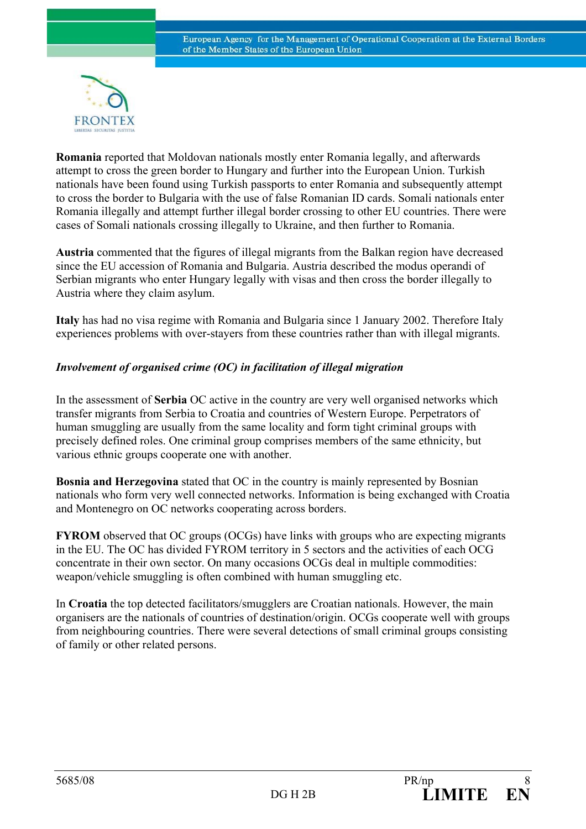

**Romania** reported that Moldovan nationals mostly enter Romania legally, and afterwards attempt to cross the green border to Hungary and further into the European Union. Turkish nationals have been found using Turkish passports to enter Romania and subsequently attempt to cross the border to Bulgaria with the use of false Romanian ID cards. Somali nationals enter Romania illegally and attempt further illegal border crossing to other EU countries. There were cases of Somali nationals crossing illegally to Ukraine, and then further to Romania.

**Austria** commented that the figures of illegal migrants from the Balkan region have decreased since the EU accession of Romania and Bulgaria. Austria described the modus operandi of Serbian migrants who enter Hungary legally with visas and then cross the border illegally to Austria where they claim asylum.

**Italy** has had no visa regime with Romania and Bulgaria since 1 January 2002. Therefore Italy experiences problems with over-stayers from these countries rather than with illegal migrants.

# *Involvement of organised crime (OC) in facilitation of illegal migration*

In the assessment of **Serbia** OC active in the country are very well organised networks which transfer migrants from Serbia to Croatia and countries of Western Europe. Perpetrators of human smuggling are usually from the same locality and form tight criminal groups with precisely defined roles. One criminal group comprises members of the same ethnicity, but various ethnic groups cooperate one with another.

**Bosnia and Herzegovina** stated that OC in the country is mainly represented by Bosnian nationals who form very well connected networks. Information is being exchanged with Croatia and Montenegro on OC networks cooperating across borders.

**FYROM** observed that OC groups (OCGs) have links with groups who are expecting migrants in the EU. The OC has divided FYROM territory in 5 sectors and the activities of each OCG concentrate in their own sector. On many occasions OCGs deal in multiple commodities: weapon/vehicle smuggling is often combined with human smuggling etc.

In **Croatia** the top detected facilitators/smugglers are Croatian nationals. However, the main organisers are the nationals of countries of destination/origin. OCGs cooperate well with groups from neighbouring countries. There were several detections of small criminal groups consisting of family or other related persons.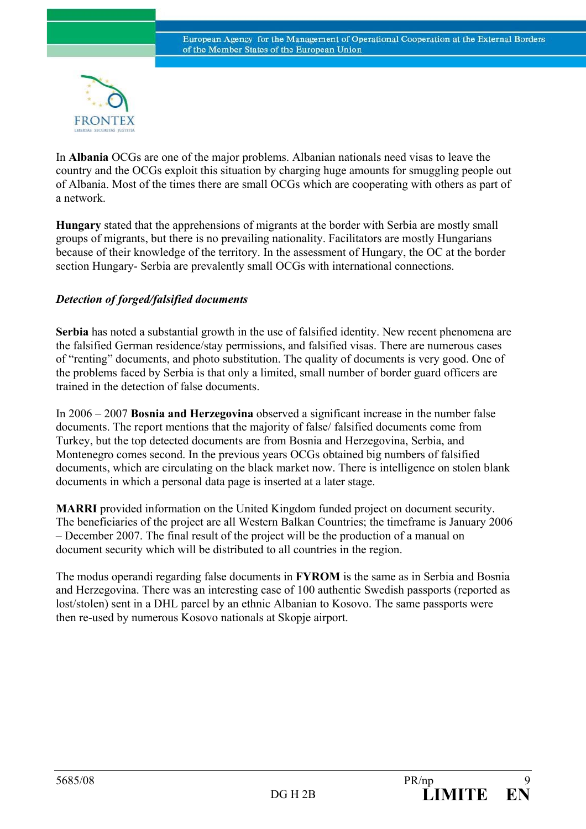

In **Albania** OCGs are one of the major problems. Albanian nationals need visas to leave the country and the OCGs exploit this situation by charging huge amounts for smuggling people out of Albania. Most of the times there are small OCGs which are cooperating with others as part of a network.

**Hungary** stated that the apprehensions of migrants at the border with Serbia are mostly small groups of migrants, but there is no prevailing nationality. Facilitators are mostly Hungarians because of their knowledge of the territory. In the assessment of Hungary, the OC at the border section Hungary- Serbia are prevalently small OCGs with international connections.

#### *Detection of forged/falsified documents*

**Serbia** has noted a substantial growth in the use of falsified identity. New recent phenomena are the falsified German residence/stay permissions, and falsified visas. There are numerous cases of "renting" documents, and photo substitution. The quality of documents is very good. One of the problems faced by Serbia is that only a limited, small number of border guard officers are trained in the detection of false documents.

In 2006 – 2007 **Bosnia and Herzegovina** observed a significant increase in the number false documents. The report mentions that the majority of false/ falsified documents come from Turkey, but the top detected documents are from Bosnia and Herzegovina, Serbia, and Montenegro comes second. In the previous years OCGs obtained big numbers of falsified documents, which are circulating on the black market now. There is intelligence on stolen blank documents in which a personal data page is inserted at a later stage.

**MARRI** provided information on the United Kingdom funded project on document security. The beneficiaries of the project are all Western Balkan Countries; the timeframe is January 2006 – December 2007. The final result of the project will be the production of a manual on document security which will be distributed to all countries in the region.

The modus operandi regarding false documents in **FYROM** is the same as in Serbia and Bosnia and Herzegovina. There was an interesting case of 100 authentic Swedish passports (reported as lost/stolen) sent in a DHL parcel by an ethnic Albanian to Kosovo. The same passports were then re-used by numerous Kosovo nationals at Skopje airport.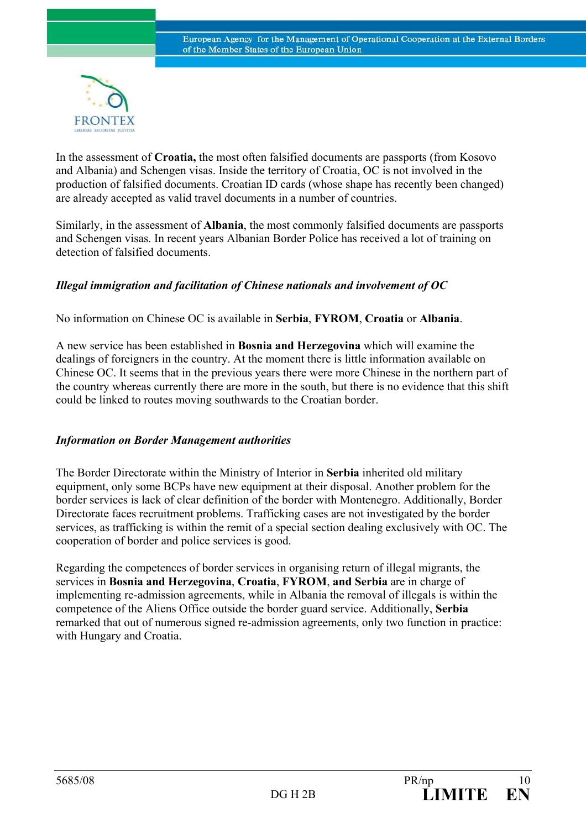

In the assessment of **Croatia,** the most often falsified documents are passports (from Kosovo and Albania) and Schengen visas. Inside the territory of Croatia, OC is not involved in the production of falsified documents. Croatian ID cards (whose shape has recently been changed) are already accepted as valid travel documents in a number of countries.

Similarly, in the assessment of **Albania**, the most commonly falsified documents are passports and Schengen visas. In recent years Albanian Border Police has received a lot of training on detection of falsified documents.

# *Illegal immigration and facilitation of Chinese nationals and involvement of OC*

No information on Chinese OC is available in **Serbia**, **FYROM**, **Croatia** or **Albania**.

A new service has been established in **Bosnia and Herzegovina** which will examine the dealings of foreigners in the country. At the moment there is little information available on Chinese OC. It seems that in the previous years there were more Chinese in the northern part of the country whereas currently there are more in the south, but there is no evidence that this shift could be linked to routes moving southwards to the Croatian border.

#### *Information on Border Management authorities*

The Border Directorate within the Ministry of Interior in **Serbia** inherited old military equipment, only some BCPs have new equipment at their disposal. Another problem for the border services is lack of clear definition of the border with Montenegro. Additionally, Border Directorate faces recruitment problems. Trafficking cases are not investigated by the border services, as trafficking is within the remit of a special section dealing exclusively with OC. The cooperation of border and police services is good.

Regarding the competences of border services in organising return of illegal migrants, the services in **Bosnia and Herzegovina**, **Croatia**, **FYROM**, **and Serbia** are in charge of implementing re-admission agreements, while in Albania the removal of illegals is within the competence of the Aliens Office outside the border guard service. Additionally, **Serbia** remarked that out of numerous signed re-admission agreements, only two function in practice: with Hungary and Croatia.